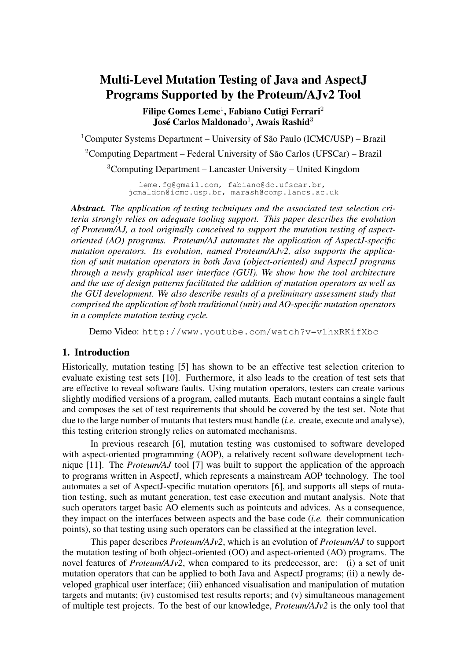# Multi-Level Mutation Testing of Java and AspectJ Programs Supported by the Proteum/AJv2 Tool

Filipe Gomes Leme<sup>1</sup>, Fabiano Cutigi Ferrari<sup>2</sup> José Carlos Maldonado $^1$ , Awais Rashid $^3$ 

<sup>1</sup>Computer Systems Department – University of São Paulo (ICMC/USP) – Brazil <sup>2</sup>Computing Department – Federal University of São Carlos (UFSCar) – Brazil <sup>3</sup>Computing Department – Lancaster University – United Kingdom

> leme.fg@gmail.com, fabiano@dc.ufscar.br, jcmaldon@icmc.usp.br, marash@comp.lancs.ac.uk

*Abstract. The application of testing techniques and the associated test selection criteria strongly relies on adequate tooling support. This paper describes the evolution of Proteum/AJ, a tool originally conceived to support the mutation testing of aspectoriented (AO) programs. Proteum/AJ automates the application of AspectJ-specific mutation operators. Its evolution, named Proteum/AJv2, also supports the application of unit mutation operators in both Java (object-oriented) and AspectJ programs through a newly graphical user interface (GUI). We show how the tool architecture and the use of design patterns facilitated the addition of mutation operators as well as the GUI development. We also describe results of a preliminary assessment study that comprised the application of both traditional (unit) and AO-specific mutation operators in a complete mutation testing cycle.*

Demo Video: http://www.youtube.com/watch?v=v1hxRKifXbc

## 1. Introduction

Historically, mutation testing [5] has shown to be an effective test selection criterion to evaluate existing test sets [10]. Furthermore, it also leads to the creation of test sets that are effective to reveal software faults. Using mutation operators, testers can create various slightly modified versions of a program, called mutants. Each mutant contains a single fault and composes the set of test requirements that should be covered by the test set. Note that due to the large number of mutants that testers must handle (*i.e.* create, execute and analyse), this testing criterion strongly relies on automated mechanisms.

In previous research [6], mutation testing was customised to software developed with aspect-oriented programming (AOP), a relatively recent software development technique [11]. The *Proteum/AJ* tool [7] was built to support the application of the approach to programs written in AspectJ, which represents a mainstream AOP technology. The tool automates a set of AspectJ-specific mutation operators [6], and supports all steps of mutation testing, such as mutant generation, test case execution and mutant analysis. Note that such operators target basic AO elements such as pointcuts and advices. As a consequence, they impact on the interfaces between aspects and the base code (*i.e.* their communication points), so that testing using such operators can be classified at the integration level.

This paper describes *Proteum/AJv2*, which is an evolution of *Proteum/AJ* to support the mutation testing of both object-oriented (OO) and aspect-oriented (AO) programs. The novel features of *Proteum/AJv2*, when compared to its predecessor, are: (i) a set of unit mutation operators that can be applied to both Java and AspectJ programs; (ii) a newly developed graphical user interface; (iii) enhanced visualisation and manipulation of mutation targets and mutants; (iv) customised test results reports; and (v) simultaneous management of multiple test projects. To the best of our knowledge, *Proteum/AJv2* is the only tool that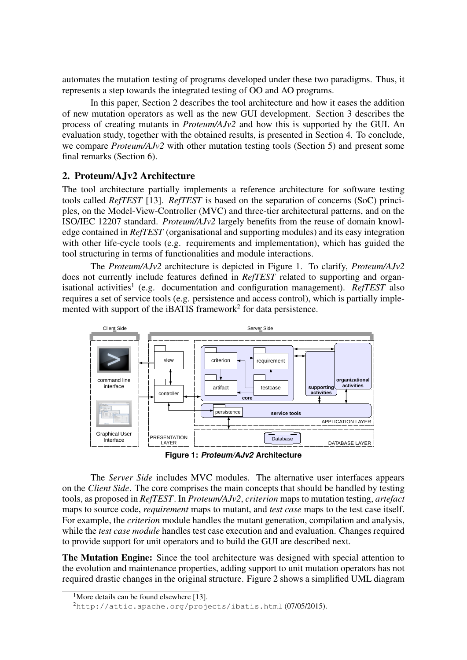automates the mutation testing of programs developed under these two paradigms. Thus, it represents a step towards the integrated testing of OO and AO programs.

In this paper, Section 2 describes the tool architecture and how it eases the addition of new mutation operators as well as the new GUI development. Section 3 describes the process of creating mutants in *Proteum/AJv2* and how this is supported by the GUI. An evaluation study, together with the obtained results, is presented in Section 4. To conclude, we compare *Proteum/AJv2* with other mutation testing tools (Section 5) and present some final remarks (Section 6).

## 2. Proteum/AJv2 Architecture

The tool architecture partially implements a reference architecture for software testing tools called *RefTEST* [13]. *RefTEST* is based on the separation of concerns (SoC) principles, on the Model-View-Controller (MVC) and three-tier architectural patterns, and on the ISO/IEC 12207 standard. *Proteum/AJv2* largely benefits from the reuse of domain knowledge contained in *RefTEST* (organisational and supporting modules) and its easy integration with other life-cycle tools (e.g. requirements and implementation), which has guided the tool structuring in terms of functionalities and module interactions.

The *Proteum/AJv2* architecture is depicted in Figure 1. To clarify, *Proteum/AJv2* does not currently include features defined in *RefTEST* related to supporting and organisational activities<sup>1</sup> (e.g. documentation and configuration management). *RefTEST* also requires a set of service tools (e.g. persistence and access control), which is partially implemented with support of the iBATIS framework<sup>2</sup> for data persistence.



**Figure 1:** *Proteum/AJv2* **Architecture**

The *Server Side* includes MVC modules. The alternative user interfaces appears on the *Client Side*. The core comprises the main concepts that should be handled by testing tools, as proposed in *RefTEST*. In *Proteum/AJv2*, *criterion* maps to mutation testing, *artefact* maps to source code, *requirement* maps to mutant, and *test case* maps to the test case itself. For example, the *criterion* module handles the mutant generation, compilation and analysis, while the *test case module* handles test case execution and and evaluation. Changes required to provide support for unit operators and to build the GUI are described next.

The Mutation Engine: Since the tool architecture was designed with special attention to the evolution and maintenance properties, adding support to unit mutation operators has not required drastic changes in the original structure. Figure 2 shows a simplified UML diagram

<sup>&</sup>lt;sup>1</sup>More details can be found elsewhere [13].

<sup>2</sup>http://attic.apache.org/projects/ibatis.html (07/05/2015).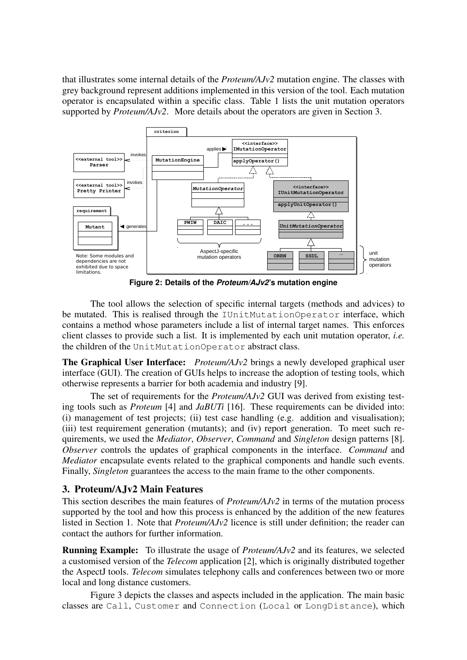that illustrates some internal details of the *Proteum/AJv2* mutation engine. The classes with grey background represent additions implemented in this version of the tool. Each mutation operator is encapsulated within a specific class. Table 1 lists the unit mutation operators supported by *Proteum/AJv2*. More details about the operators are given in Section 3.



**Figure 2: Details of the** *Proteum/AJv2***'s mutation engine**

The tool allows the selection of specific internal targets (methods and advices) to be mutated. This is realised through the IUnitMutationOperator interface, which contains a method whose parameters include a list of internal target names. This enforces client classes to provide such a list. It is implemented by each unit mutation operator, *i.e.* the children of the UnitMutationOperator abstract class.

The Graphical User Interface: *Proteum/AJv2* brings a newly developed graphical user interface (GUI). The creation of GUIs helps to increase the adoption of testing tools, which otherwise represents a barrier for both academia and industry [9].

The set of requirements for the *Proteum/AJv2* GUI was derived from existing testing tools such as *Proteum* [4] and *JaBUTi* [16]. These requirements can be divided into: (i) management of test projects; (ii) test case handling (e.g. addition and visualisation); (iii) test requirement generation (mutants); and (iv) report generation. To meet such requirements, we used the *Mediator*, *Observer*, *Command* and *Singleton* design patterns [8]. *Observer* controls the updates of graphical components in the interface. *Command* and *Mediator* encapsulate events related to the graphical components and handle such events. Finally, *Singleton* guarantees the access to the main frame to the other components.

## 3. Proteum/AJv2 Main Features

This section describes the main features of *Proteum/AJv2* in terms of the mutation process supported by the tool and how this process is enhanced by the addition of the new features listed in Section 1. Note that *Proteum/AJv2* licence is still under definition; the reader can contact the authors for further information.

Running Example: To illustrate the usage of *Proteum/AJv2* and its features, we selected a customised version of the *Telecom* application [2], which is originally distributed together the AspectJ tools. *Telecom* simulates telephony calls and conferences between two or more local and long distance customers.

Figure 3 depicts the classes and aspects included in the application. The main basic classes are Call, Customer and Connection (Local or LongDistance), which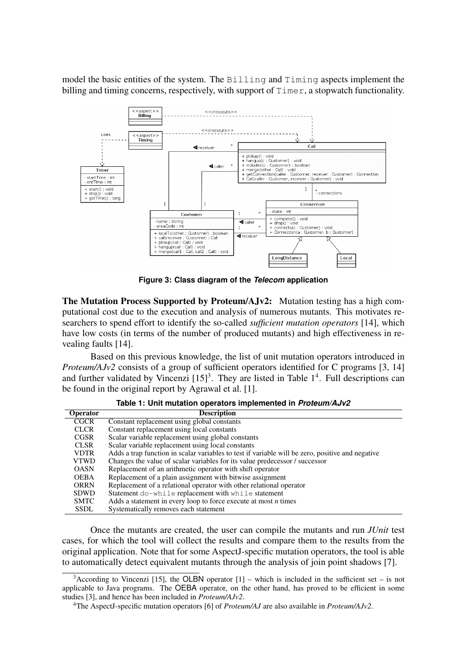model the basic entities of the system. The Billing and Timing aspects implement the billing and timing concerns, respectively, with support of  $\text{Timer},$  a stopwatch functionality.



**Figure 3: Class diagram of the** *Telecom* **application**

The Mutation Process Supported by Proteum/AJv2: Mutation testing has a high computational cost due to the execution and analysis of numerous mutants. This motivates researchers to spend effort to identify the so-called *sufficient mutation operators* [14], which have low costs (in terms of the number of produced mutants) and high effectiveness in revealing faults [14].

Based on this previous knowledge, the list of unit mutation operators introduced in *Proteum/AJv2* consists of a group of sufficient operators identified for C programs [3, 14] and further validated by Vincenzi  $[15]^3$ . They are listed in Table  $1^4$ . Full descriptions can be found in the original report by Agrawal et al. [1].

| <b>Operator</b> | <b>Description</b>                                                                               |
|-----------------|--------------------------------------------------------------------------------------------------|
| <b>CGCR</b>     | Constant replacement using global constants                                                      |
| <b>CLCR</b>     | Constant replacement using local constants                                                       |
| <b>CGSR</b>     | Scalar variable replacement using global constants                                               |
| <b>CLSR</b>     | Scalar variable replacement using local constants                                                |
| <b>VDTR</b>     | Adds a trap function in scalar variables to test if variable will be zero, positive and negative |
| <b>VTWD</b>     | Changes the value of scalar variables for its value predecessor / successor                      |
| <b>OASN</b>     | Replacement of an arithmetic operator with shift operator                                        |
| <b>OEBA</b>     | Replacement of a plain assignment with bitwise assignment                                        |
| <b>ORRN</b>     | Replacement of a relational operator with other relational operator                              |
| <b>SDWD</b>     | Statement do-while replacement with while statement                                              |
| <b>SMTC</b>     | Adds a statement in every loop to force execute at most $n$ times                                |
| <b>SSDL</b>     | Systematically removes each statement                                                            |

**Table 1: Unit mutation operators implemented in** *Proteum/AJv2*

Once the mutants are created, the user can compile the mutants and run *JUnit* test cases, for which the tool will collect the results and compare them to the results from the original application. Note that for some AspectJ-specific mutation operators, the tool is able to automatically detect equivalent mutants through the analysis of join point shadows [7].

 $3$ According to Vincenzi [15], the OLBN operator [1] – which is included in the sufficient set – is not applicable to Java programs. The OEBA operator, on the other hand, has proved to be efficient in some studies [3], and hence has been included in *Proteum/AJv2*.

<sup>4</sup>The AspectJ-specific mutation operators [6] of *Proteum/AJ* are also available in *Proteum/AJv2*.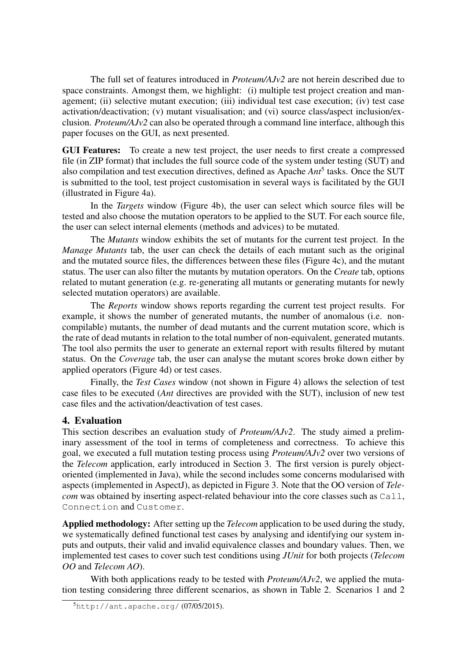The full set of features introduced in *Proteum/AJv2* are not herein described due to space constraints. Amongst them, we highlight: (i) multiple test project creation and management; (ii) selective mutant execution; (iii) individual test case execution; (iv) test case activation/deactivation; (v) mutant visualisation; and (vi) source class/aspect inclusion/exclusion. *Proteum/AJv2* can also be operated through a command line interface, although this paper focuses on the GUI, as next presented.

GUI Features: To create a new test project, the user needs to first create a compressed file (in ZIP format) that includes the full source code of the system under testing (SUT) and also compilation and test execution directives, defined as Apache *Ant*<sup>5</sup> tasks. Once the SUT is submitted to the tool, test project customisation in several ways is facilitated by the GUI (illustrated in Figure 4a).

In the *Targets* window (Figure 4b), the user can select which source files will be tested and also choose the mutation operators to be applied to the SUT. For each source file, the user can select internal elements (methods and advices) to be mutated.

The *Mutants* window exhibits the set of mutants for the current test project. In the *Manage Mutants* tab, the user can check the details of each mutant such as the original and the mutated source files, the differences between these files (Figure 4c), and the mutant status. The user can also filter the mutants by mutation operators. On the *Create* tab, options related to mutant generation (e.g. re-generating all mutants or generating mutants for newly selected mutation operators) are available.

The *Reports* window shows reports regarding the current test project results. For example, it shows the number of generated mutants, the number of anomalous (i.e. noncompilable) mutants, the number of dead mutants and the current mutation score, which is the rate of dead mutants in relation to the total number of non-equivalent, generated mutants. The tool also permits the user to generate an external report with results filtered by mutant status. On the *Coverage* tab, the user can analyse the mutant scores broke down either by applied operators (Figure 4d) or test cases.

Finally, the *Test Cases* window (not shown in Figure 4) allows the selection of test case files to be executed (*Ant* directives are provided with the SUT), inclusion of new test case files and the activation/deactivation of test cases.

## 4. Evaluation

This section describes an evaluation study of *Proteum/AJv2*. The study aimed a preliminary assessment of the tool in terms of completeness and correctness. To achieve this goal, we executed a full mutation testing process using *Proteum/AJv2* over two versions of the *Telecom* application, early introduced in Section 3. The first version is purely objectoriented (implemented in Java), while the second includes some concerns modularised with aspects (implemented in AspectJ), as depicted in Figure 3. Note that the OO version of *Telecom* was obtained by inserting aspect-related behaviour into the core classes such as Call, Connection and Customer.

Applied methodology: After setting up the *Telecom* application to be used during the study, we systematically defined functional test cases by analysing and identifying our system inputs and outputs, their valid and invalid equivalence classes and boundary values. Then, we implemented test cases to cover such test conditions using *JUnit* for both projects (*Telecom OO* and *Telecom AO*).

With both applications ready to be tested with *Proteum/AJv2*, we applied the mutation testing considering three different scenarios, as shown in Table 2. Scenarios 1 and 2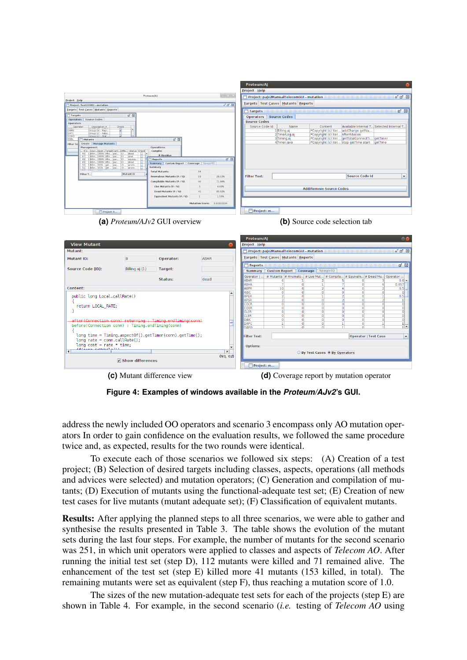|                                                                                       |                |                                                         |                                         | <b>Proteum/AJ</b>                  |                      |                                    |                                                                                    |                                                        |                             |                                   |
|---------------------------------------------------------------------------------------|----------------|---------------------------------------------------------|-----------------------------------------|------------------------------------|----------------------|------------------------------------|------------------------------------------------------------------------------------|--------------------------------------------------------|-----------------------------|-----------------------------------|
|                                                                                       |                |                                                         |                                         | Project Help                       |                      |                                    |                                                                                    |                                                        |                             |                                   |
|                                                                                       |                | Proteum/AJ                                              | $\mathbb{R}$ $\rightarrow$              |                                    |                      |                                    | Project: pajv2ManualTelecomGUI - mutation                                          |                                                        |                             | $E$ $\overline{Z}$ $\overline{X}$ |
| <b>Project Help</b>                                                                   |                |                                                         |                                         |                                    |                      | Targets Test Cases Mutants Reports |                                                                                    |                                                        |                             |                                   |
| Project: TestGUI001 - mutation                                                        |                |                                                         | $n'$ $n'$ $\boxtimes$                   |                                    |                      |                                    |                                                                                    |                                                        |                             |                                   |
| Targets Test Cases Mutants Reports                                                    |                |                                                         |                                         | Targets                            |                      |                                    |                                                                                    |                                                        |                             | ø ×                               |
| Targets<br><b>Operators</b><br>Source Codes                                           | ■ 図            |                                                         |                                         | Operators Source Codes             |                      |                                    |                                                                                    |                                                        |                             |                                   |
| Operators                                                                             |                |                                                         |                                         | <b>Source Codes</b>                |                      |                                    |                                                                                    |                                                        |                             |                                   |
| Description ~<br>Operator                                                             | Check          |                                                         |                                         | Source Code Id                     |                      | Name                               | Content                                                                            | Available Internal T Selected Internal T               |                             |                                   |
| ORRN<br>Group G6 - Repl<br>Group G7 - Adds.<br>MTC                                    |                |                                                         |                                         |                                    |                      | 1 Billing.aj                       | /*Copyright (c) Xer addCharge getNu                                                |                                                        |                             |                                   |
| SDWD<br>$-$ Stat<br>Groun.<br>SSDL                                                    |                | 回 図                                                     |                                         |                                    |                      | 2 TimerLog.aj<br>3 Timing.aj       | /*Copyright (c) Xer AfterAdvices<br>/*Copyright (c) Xer getTotalConnectTi getTimer |                                                        |                             |                                   |
| Mutants<br>Create   Manage Mutants<br>Filter Te                                       |                |                                                         |                                         |                                    |                      | 4 Timer.java                       | /*Copyright (c) Xer stop getTime start   getTime                                   |                                                        |                             |                                   |
| Management:                                                                           |                | Operations:                                             |                                         |                                    |                      |                                    |                                                                                    |                                                        |                             |                                   |
| Status Check, Cover Target Cont Diffe Status Check<br>1 Billin ORRN Afte pac 33  dead |                | Compile:                                                |                                         |                                    |                      |                                    |                                                                                    |                                                        |                             |                                   |
| 47 1 Bilin ORRN Afte pac 33  alive<br>1 Bilin ORRN Afte pac 33  equiva                |                | <b>Residue</b><br>Reports                               | ø <b>×</b>                              |                                    |                      |                                    |                                                                                    |                                                        |                             |                                   |
| 49 1 Billin ORRN Afte pac 33  dead<br>1 Bilin SSDL get pac 19  anom                   |                | Summary Custom Report Coverage Spago4Q                  |                                         |                                    |                      |                                    |                                                                                    |                                                        |                             |                                   |
| 51 1 Billin SSDL get pac 19  anom.                                                    |                | Summary                                                 |                                         |                                    |                      |                                    |                                                                                    |                                                        |                             |                                   |
| Filter T                                                                              | Mutant ID      | <b>Total Mutants:</b>                                   | 64                                      |                                    |                      |                                    |                                                                                    |                                                        |                             |                                   |
|                                                                                       |                | Anomalous Mutants (# / %):                              | 18<br>28.12%                            | <b>Filter Text:</b>                |                      |                                    |                                                                                    | <b>Source Code Id</b>                                  |                             | $\blacktriangledown$              |
|                                                                                       |                | Compilable Mutants (# / %):                             | 46<br>71.88%                            |                                    |                      |                                    |                                                                                    |                                                        |                             |                                   |
|                                                                                       |                | Live Mutants (# / %):<br>Dead Mutants (# / %):          | $\overline{3}$<br>4.69%<br>65.62%<br>42 |                                    |                      |                                    | <b>Add/Remove Source Codes</b>                                                     |                                                        |                             |                                   |
|                                                                                       |                | Equivalent Mutants (# / %):                             | 1.56%                                   |                                    |                      |                                    |                                                                                    |                                                        |                             |                                   |
|                                                                                       |                |                                                         |                                         |                                    |                      |                                    |                                                                                    |                                                        |                             |                                   |
|                                                                                       |                |                                                         | Mutation Score: 0.93333334              |                                    |                      |                                    |                                                                                    |                                                        |                             |                                   |
| Project: t                                                                            |                |                                                         |                                         | Project: m                         |                      |                                    |                                                                                    |                                                        |                             |                                   |
|                                                                                       |                |                                                         |                                         |                                    |                      |                                    |                                                                                    |                                                        |                             |                                   |
| <b>View Mutant</b>                                                                    |                |                                                         |                                         | <b>Proteum/AJ</b><br>Project Help  |                      |                                    |                                                                                    |                                                        |                             | $\circ$                           |
| Mutant:                                                                               |                |                                                         |                                         |                                    |                      |                                    | Project: pajv2ManualTelecomGUI - mutation                                          |                                                        |                             | $E$ $\overline{E}$ $\overline{M}$ |
|                                                                                       |                |                                                         |                                         | Targets Test Cases Mutants Reports |                      |                                    |                                                                                    |                                                        |                             |                                   |
| Mutant ID:                                                                            | 8              | Operator:                                               | <b>ABAR</b>                             |                                    |                      |                                    |                                                                                    |                                                        |                             |                                   |
| Source Code (ID):                                                                     |                |                                                         |                                         | <b>Reports</b>                     |                      |                                    |                                                                                    |                                                        |                             | <b>⊠ ⊠</b>                        |
|                                                                                       | Billing.aj (1) | Target:                                                 |                                         | Summary                            | <b>Custom Report</b> |                                    | Coverage<br>Spago4Q                                                                |                                                        |                             |                                   |
|                                                                                       |                | Status:                                                 | dead                                    | Operator                           |                      |                                    | # Mutants   # Anomalo   # Live Mut   # Compila   # Equivale   # Dead Mu Operator   |                                                        |                             |                                   |
|                                                                                       |                |                                                         |                                         | <b>ABAR</b><br><b>ABHA</b>         |                      | 6<br>7                             | $\circ$<br>1                                                                       | 5<br>$\circ$<br>7<br>$\circ$                           | з<br>6                      | $0.6 -$<br>0.857                  |
| Content:                                                                              |                |                                                         |                                         | <b>ABPR</b>                        |                      | 10                                 | 6<br>$\overline{2}$                                                                | $\overline{4}$<br>$\overline{0}$                       | $\overline{2}$              | 0.5                               |
|                                                                                       |                |                                                         |                                         | AISC                               |                      | $\overline{0}$                     | $\overline{\mathbf{0}}$<br>$\circ$                                                 | $\overline{0}$<br>$\circ$                              | $\circ$                     | $\circ$                           |
| public long Local.callRate()                                                          |                |                                                         |                                         | <b>APER</b><br><b>APSR</b>         |                      | $\overline{2}$<br>$\overline{2}$   | $\circ$<br>n<br>$\circ$<br>$\circ$                                                 | $\overline{2}$<br>$\circ$<br>$\overline{2}$<br>$\circ$ | ı.<br>$\overline{2}$        | 0.5<br>$\mathbf{I}$               |
| К                                                                                     |                |                                                         |                                         | CGCR                               |                      | $\circ$                            | $\circ$<br>$\circ$                                                                 | $\circ$<br>$\circ$                                     | $\circ$                     | $\circ$                           |
| return LOCAL RATE;<br>P.                                                              |                |                                                         |                                         | CGSR                               |                      | $\circ$                            | $\bullet$<br>$\circ$                                                               | $\circ$<br>$\circ$                                     | $\circ$                     | 0                                 |
|                                                                                       |                |                                                         |                                         | <b>CLCR</b><br><b>CLSR</b>         |                      | $\circ$<br>$\circ$                 | $\circ$<br>$\circ$<br>$\Omega$<br>$\Omega$                                         | $\circ$<br>$\circ$<br>$\circ$<br>$\overline{0}$        | $\circ$<br>$\circ$          | 히<br>이                            |
|                                                                                       |                |                                                         |                                         |                                    |                      |                                    |                                                                                    |                                                        | $\circ$                     |                                   |
|                                                                                       |                |                                                         |                                         | DAIC                               |                      | $\overline{0}$                     | $\circ$<br>$\circ$                                                                 | $\overline{0}$<br>$\circ$                              |                             | 히                                 |
| after (Connection conn) returning : Timing, endTiming (conn)                          |                |                                                         |                                         | DAPC                               |                      | 1                                  | $\Omega$<br>$\circ$                                                                | u<br>$\circ$                                           | 1                           |                                   |
| before(Connection conn) : Timing.endTiming(conn)                                      |                |                                                         |                                         | DAPO                               |                      | п.                                 |                                                                                    | т<br>$\Omega$                                          |                             | īl▼l                              |
|                                                                                       |                | long time = Timing.aspectOf().getTimer(conn).getTime(); |                                         | <b>Filter Text:</b>                |                      |                                    |                                                                                    |                                                        |                             |                                   |
| $long$ rate = conn.callRate();                                                        |                |                                                         |                                         |                                    |                      |                                    |                                                                                    |                                                        | <b>Operator   Test Case</b> | ٠                                 |
| $long cost = rate * time;$                                                            |                |                                                         |                                         | Options:                           |                      |                                    |                                                                                    |                                                        |                             |                                   |
| $\blacktriangleleft$                                                                  |                |                                                         | $\blacktriangleright$                   |                                    |                      |                                    |                                                                                    |                                                        |                             |                                   |
|                                                                                       |                |                                                         | (93, 02)                                |                                    |                      |                                    | Ry Test Cases ® By Operators                                                       |                                                        |                             |                                   |

**(c)** Mutant difference view **(d)** Coverage report by mutation operator

**Figure 4: Examples of windows available in the** *Proteum/AJv2***'s GUI.**

Project: m...

address the newly included OO operators and scenario 3 encompass only AO mutation operators In order to gain confidence on the evaluation results, we followed the same procedure twice and, as expected, results for the two rounds were identical.

To execute each of those scenarios we followed six steps: (A) Creation of a test project; (B) Selection of desired targets including classes, aspects, operations (all methods and advices were selected) and mutation operators; (C) Generation and compilation of mutants; (D) Execution of mutants using the functional-adequate test set; (E) Creation of new test cases for live mutants (mutant adequate set); (F) Classification of equivalent mutants.

Results: After applying the planned steps to all three scenarios, we were able to gather and synthesise the results presented in Table 3. The table shows the evolution of the mutant sets during the last four steps. For example, the number of mutants for the second scenario was 251, in which unit operators were applied to classes and aspects of *Telecom AO*. After running the initial test set (step D), 112 mutants were killed and 71 remained alive. The enhancement of the test set (step E) killed more 41 mutants (153 killed, in total). The remaining mutants were set as equivalent (step F), thus reaching a mutation score of 1.0.

The sizes of the new mutation-adequate test sets for each of the projects (step E) are shown in Table 4. For example, in the second scenario (*i.e.* testing of *Telecom AO* using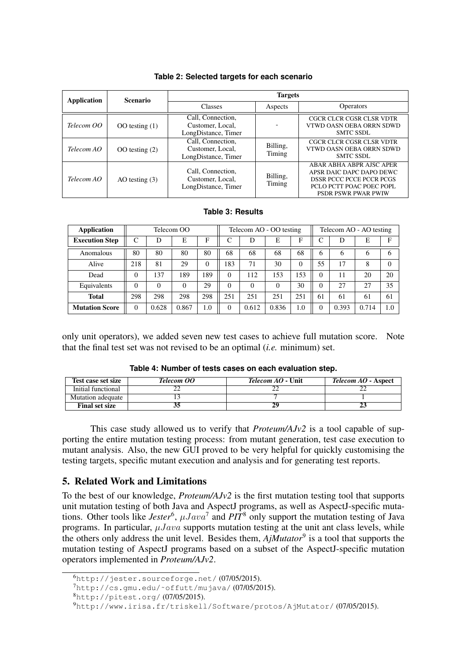| <b>Application</b> | <b>Scenario</b>    | <b>Targets</b>                                               |                    |                                                                                                                                                   |  |  |  |
|--------------------|--------------------|--------------------------------------------------------------|--------------------|---------------------------------------------------------------------------------------------------------------------------------------------------|--|--|--|
|                    |                    | <b>Classes</b>                                               | Aspects            | <b>Operators</b>                                                                                                                                  |  |  |  |
| Telecom OO         | OO testing $(1)$   | Call, Connection,<br>Customer, Local,<br>LongDistance, Timer |                    | CGCR CLCR CGSR CLSR VDTR<br>VTWD OASN OEBA ORRN SDWD<br><b>SMTC SSDL</b>                                                                          |  |  |  |
| Telecom AO         | $OO$ testing $(2)$ | Call, Connection,<br>Customer, Local,<br>LongDistance, Timer | Billing,<br>Timing | CGCR CLCR CGSR CLSR VDTR<br>VTWD OASN OEBA ORRN SDWD<br><b>SMTC SSDL</b>                                                                          |  |  |  |
| Telecom AO         | AO testing $(3)$   | Call, Connection,<br>Customer, Local,<br>LongDistance, Timer | Billing,<br>Timing | ABAR ABHA ABPR AISC APER<br>APSR DAIC DAPC DAPO DEWC<br><b>DSSR PCCC PCCE PCCR PCGS</b><br>PCLO PCTT POAC POEC POPL<br><b>PSDR PSWR PWAR PWIW</b> |  |  |  |

#### **Table 2: Selected targets for each scenario**

#### **Table 3: Results**

| Application           | Telecom OO |          |          | Telecom AO - OO testing |          |          | Telecom AO - AO testing |          |          |       |       |          |
|-----------------------|------------|----------|----------|-------------------------|----------|----------|-------------------------|----------|----------|-------|-------|----------|
| <b>Execution Step</b> | C          | D        | E        | F                       | ⌒        | D        | E                       | F        | ⌒        | D     | E     | F        |
| Anomalous             | 80         | 80       | 80       | 80                      | 68       | 68       | 68                      | 68       | 6        | 6     | 6     | 6        |
| Alive                 | 218        | 81       | 29       | $\theta$                | 183      | 71       | 30                      | $\Omega$ | 55       | 17    | 8     | $\Omega$ |
| Dead                  | $\Omega$   | 137      | 189      | 189                     | $\Omega$ | 112      | 153                     | 153      | 0        | 11    | 20    | 20       |
| Equivalents           | $\Omega$   | $\Omega$ | $\Omega$ | 29                      | $\Omega$ | $\Omega$ | $\Omega$                | 30       | 0        | 27    | 27    | 35       |
| <b>Total</b>          | 298        | 298      | 298      | 298                     | 251      | 251      | 251                     | 251      | 61       | 61    | 61    | 61       |
| <b>Mutation Score</b> | $\Omega$   | 0.628    | 0.867    | 1.0                     | $\Omega$ | 0.612    | 0.836                   | 1.0      | $\Omega$ | 0.393 | 0.714 | 1.0      |

only unit operators), we added seven new test cases to achieve full mutation score. Note that the final test set was not revised to be an optimal (*i.e.* minimum) set.

| Test case set size    | Telecom OO | <i>Telecom AO</i> - Unit | <i>Telecom AO</i> - Aspect |
|-----------------------|------------|--------------------------|----------------------------|
| Initial functional    |            |                          |                            |
| Mutation adequate     |            |                          |                            |
| <b>Final set size</b> |            |                          |                            |

**Table 4: Number of tests cases on each evaluation step.**

This case study allowed us to verify that *Proteum/AJv2* is a tool capable of supporting the entire mutation testing process: from mutant generation, test case execution to mutant analysis. Also, the new GUI proved to be very helpful for quickly customising the testing targets, specific mutant execution and analysis and for generating test reports.

## 5. Related Work and Limitations

To the best of our knowledge, *Proteum/AJv2* is the first mutation testing tool that supports unit mutation testing of both Java and AspectJ programs, as well as AspectJ-specific mutations. Other tools like *Jester*<sup>6</sup>,  $\mu Java^7$  and *PIT*<sup>8</sup> only support the mutation testing of Java programs. In particular,  $\mu Java$  supports mutation testing at the unit ant class levels, while the others only address the unit level. Besides them, *AjMutator*<sup>9</sup> is a tool that supports the mutation testing of AspectJ programs based on a subset of the AspectJ-specific mutation operators implemented in *Proteum/AJv2*.

 $^{6}$ http://jester.sourceforge.net/ $(07/05/2015)$ .

<sup>7</sup>http://cs.gmu.edu/˜offutt/mujava/ (07/05/2015).

<sup>8</sup>http://pitest.org/ (07/05/2015).

<sup>9</sup>http://www.irisa.fr/triskell/Software/protos/AjMutator/ (07/05/2015).